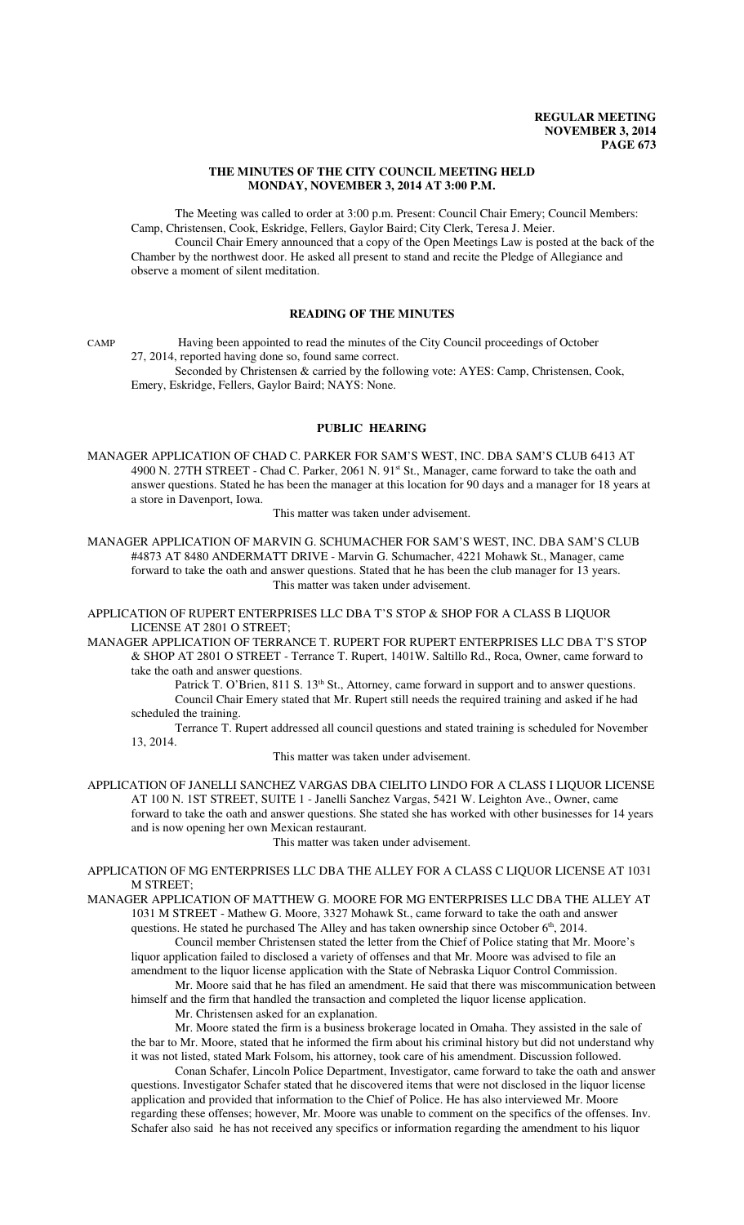#### **THE MINUTES OF THE CITY COUNCIL MEETING HELD MONDAY, NOVEMBER 3, 2014 AT 3:00 P.M.**

The Meeting was called to order at 3:00 p.m. Present: Council Chair Emery; Council Members: Camp, Christensen, Cook, Eskridge, Fellers, Gaylor Baird; City Clerk, Teresa J. Meier. Council Chair Emery announced that a copy of the Open Meetings Law is posted at the back of the Chamber by the northwest door. He asked all present to stand and recite the Pledge of Allegiance and observe a moment of silent meditation.

### **READING OF THE MINUTES**

CAMP Having been appointed to read the minutes of the City Council proceedings of October

27, 2014, reported having done so, found same correct. Seconded by Christensen & carried by the following vote: AYES: Camp, Christensen, Cook, Emery, Eskridge, Fellers, Gaylor Baird; NAYS: None.

#### **PUBLIC HEARING**

MANAGER APPLICATION OF CHAD C. PARKER FOR SAM'S WEST, INC. DBA SAM'S CLUB 6413 AT 4900 N. 27TH STREET - Chad C. Parker, 2061 N. 91<sup>st</sup> St., Manager, came forward to take the oath and answer questions. Stated he has been the manager at this location for 90 days and a manager for 18 years at a store in Davenport, Iowa.

This matter was taken under advisement.

MANAGER APPLICATION OF MARVIN G. SCHUMACHER FOR SAM'S WEST, INC. DBA SAM'S CLUB #4873 AT 8480 ANDERMATT DRIVE - Marvin G. Schumacher, 4221 Mohawk St., Manager, came forward to take the oath and answer questions. Stated that he has been the club manager for 13 years. This matter was taken under advisement.

APPLICATION OF RUPERT ENTERPRISES LLC DBA T'S STOP & SHOP FOR A CLASS B LIQUOR LICENSE AT 2801 O STREET;

MANAGER APPLICATION OF TERRANCE T. RUPERT FOR RUPERT ENTERPRISES LLC DBA T'S STOP & SHOP AT 2801 O STREET - Terrance T. Rupert, 1401W. Saltillo Rd., Roca, Owner, came forward to take the oath and answer questions.

Patrick T. O'Brien, 811 S. 13<sup>th</sup> St., Attorney, came forward in support and to answer questions. Council Chair Emery stated that Mr. Rupert still needs the required training and asked if he had scheduled the training.

Terrance T. Rupert addressed all council questions and stated training is scheduled for November 13, 2014.

This matter was taken under advisement.

APPLICATION OF JANELLI SANCHEZ VARGAS DBA CIELITO LINDO FOR A CLASS I LIQUOR LICENSE AT 100 N. 1ST STREET, SUITE 1 - Janelli Sanchez Vargas, 5421 W. Leighton Ave., Owner, came forward to take the oath and answer questions. She stated she has worked with other businesses for 14 years and is now opening her own Mexican restaurant.

This matter was taken under advisement.

APPLICATION OF MG ENTERPRISES LLC DBA THE ALLEY FOR A CLASS C LIQUOR LICENSE AT 1031 M STREET;

MANAGER APPLICATION OF MATTHEW G. MOORE FOR MG ENTERPRISES LLC DBA THE ALLEY AT 1031 M STREET - Mathew G. Moore, 3327 Mohawk St., came forward to take the oath and answer questions. He stated he purchased The Alley and has taken ownership since October  $6<sup>th</sup>$ , 2014.

Council member Christensen stated the letter from the Chief of Police stating that Mr. Moore's liquor application failed to disclosed a variety of offenses and that Mr. Moore was advised to file an amendment to the liquor license application with the State of Nebraska Liquor Control Commission.

Mr. Moore said that he has filed an amendment. He said that there was miscommunication between himself and the firm that handled the transaction and completed the liquor license application.

Mr. Christensen asked for an explanation.

Mr. Moore stated the firm is a business brokerage located in Omaha. They assisted in the sale of the bar to Mr. Moore, stated that he informed the firm about his criminal history but did not understand why it was not listed, stated Mark Folsom, his attorney, took care of his amendment. Discussion followed.

Conan Schafer, Lincoln Police Department, Investigator, came forward to take the oath and answer questions. Investigator Schafer stated that he discovered items that were not disclosed in the liquor license application and provided that information to the Chief of Police. He has also interviewed Mr. Moore regarding these offenses; however, Mr. Moore was unable to comment on the specifics of the offenses. Inv. Schafer also said he has not received any specifics or information regarding the amendment to his liquor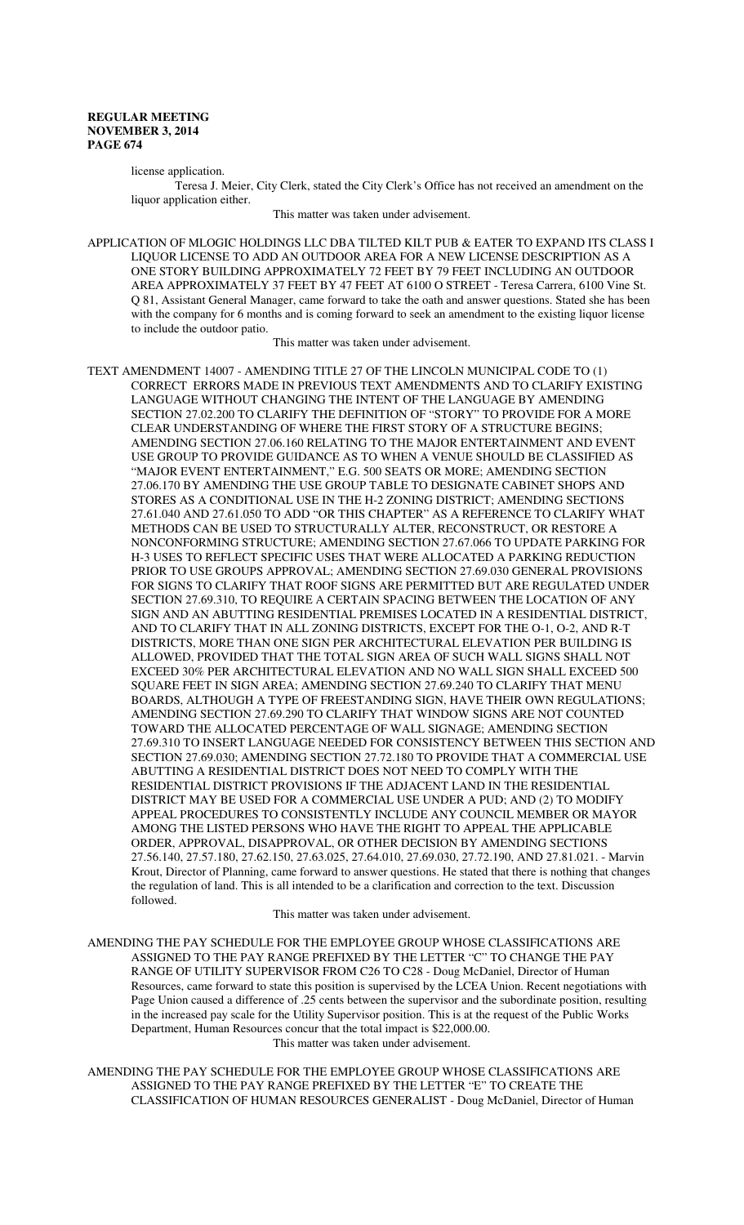license application.

Teresa J. Meier, City Clerk, stated the City Clerk's Office has not received an amendment on the liquor application either.

This matter was taken under advisement.

APPLICATION OF MLOGIC HOLDINGS LLC DBA TILTED KILT PUB & EATER TO EXPAND ITS CLASS I LIQUOR LICENSE TO ADD AN OUTDOOR AREA FOR A NEW LICENSE DESCRIPTION AS A ONE STORY BUILDING APPROXIMATELY 72 FEET BY 79 FEET INCLUDING AN OUTDOOR AREA APPROXIMATELY 37 FEET BY 47 FEET AT 6100 O STREET - Teresa Carrera, 6100 Vine St. Q 81, Assistant General Manager, came forward to take the oath and answer questions. Stated she has been with the company for 6 months and is coming forward to seek an amendment to the existing liquor license to include the outdoor patio.

This matter was taken under advisement.

TEXT AMENDMENT 14007 - AMENDING TITLE 27 OF THE LINCOLN MUNICIPAL CODE TO (1) CORRECT ERRORS MADE IN PREVIOUS TEXT AMENDMENTS AND TO CLARIFY EXISTING LANGUAGE WITHOUT CHANGING THE INTENT OF THE LANGUAGE BY AMENDING SECTION 27.02.200 TO CLARIFY THE DEFINITION OF "STORY" TO PROVIDE FOR A MORE CLEAR UNDERSTANDING OF WHERE THE FIRST STORY OF A STRUCTURE BEGINS; AMENDING SECTION 27.06.160 RELATING TO THE MAJOR ENTERTAINMENT AND EVENT USE GROUP TO PROVIDE GUIDANCE AS TO WHEN A VENUE SHOULD BE CLASSIFIED AS "MAJOR EVENT ENTERTAINMENT," E.G. 500 SEATS OR MORE; AMENDING SECTION 27.06.170 BY AMENDING THE USE GROUP TABLE TO DESIGNATE CABINET SHOPS AND STORES AS A CONDITIONAL USE IN THE H-2 ZONING DISTRICT; AMENDING SECTIONS 27.61.040 AND 27.61.050 TO ADD "OR THIS CHAPTER" AS A REFERENCE TO CLARIFY WHAT METHODS CAN BE USED TO STRUCTURALLY ALTER, RECONSTRUCT, OR RESTORE A NONCONFORMING STRUCTURE; AMENDING SECTION 27.67.066 TO UPDATE PARKING FOR H-3 USES TO REFLECT SPECIFIC USES THAT WERE ALLOCATED A PARKING REDUCTION PRIOR TO USE GROUPS APPROVAL; AMENDING SECTION 27.69.030 GENERAL PROVISIONS FOR SIGNS TO CLARIFY THAT ROOF SIGNS ARE PERMITTED BUT ARE REGULATED UNDER SECTION 27.69.310, TO REQUIRE A CERTAIN SPACING BETWEEN THE LOCATION OF ANY SIGN AND AN ABUTTING RESIDENTIAL PREMISES LOCATED IN A RESIDENTIAL DISTRICT, AND TO CLARIFY THAT IN ALL ZONING DISTRICTS, EXCEPT FOR THE O-1, O-2, AND R-T DISTRICTS, MORE THAN ONE SIGN PER ARCHITECTURAL ELEVATION PER BUILDING IS ALLOWED, PROVIDED THAT THE TOTAL SIGN AREA OF SUCH WALL SIGNS SHALL NOT EXCEED 30% PER ARCHITECTURAL ELEVATION AND NO WALL SIGN SHALL EXCEED 500 SQUARE FEET IN SIGN AREA; AMENDING SECTION 27.69.240 TO CLARIFY THAT MENU BOARDS, ALTHOUGH A TYPE OF FREESTANDING SIGN, HAVE THEIR OWN REGULATIONS; AMENDING SECTION 27.69.290 TO CLARIFY THAT WINDOW SIGNS ARE NOT COUNTED TOWARD THE ALLOCATED PERCENTAGE OF WALL SIGNAGE; AMENDING SECTION 27.69.310 TO INSERT LANGUAGE NEEDED FOR CONSISTENCY BETWEEN THIS SECTION AND SECTION 27.69.030; AMENDING SECTION 27.72.180 TO PROVIDE THAT A COMMERCIAL USE ABUTTING A RESIDENTIAL DISTRICT DOES NOT NEED TO COMPLY WITH THE RESIDENTIAL DISTRICT PROVISIONS IF THE ADJACENT LAND IN THE RESIDENTIAL DISTRICT MAY BE USED FOR A COMMERCIAL USE UNDER A PUD; AND (2) TO MODIFY APPEAL PROCEDURES TO CONSISTENTLY INCLUDE ANY COUNCIL MEMBER OR MAYOR AMONG THE LISTED PERSONS WHO HAVE THE RIGHT TO APPEAL THE APPLICABLE ORDER, APPROVAL, DISAPPROVAL, OR OTHER DECISION BY AMENDING SECTIONS 27.56.140, 27.57.180, 27.62.150, 27.63.025, 27.64.010, 27.69.030, 27.72.190, AND 27.81.021. - Marvin Krout, Director of Planning, came forward to answer questions. He stated that there is nothing that changes the regulation of land. This is all intended to be a clarification and correction to the text. Discussion followed.

This matter was taken under advisement.

AMENDING THE PAY SCHEDULE FOR THE EMPLOYEE GROUP WHOSE CLASSIFICATIONS ARE ASSIGNED TO THE PAY RANGE PREFIXED BY THE LETTER "C" TO CHANGE THE PAY RANGE OF UTILITY SUPERVISOR FROM C26 TO C28 - Doug McDaniel, Director of Human Resources, came forward to state this position is supervised by the LCEA Union. Recent negotiations with Page Union caused a difference of .25 cents between the supervisor and the subordinate position, resulting in the increased pay scale for the Utility Supervisor position. This is at the request of the Public Works Department, Human Resources concur that the total impact is \$22,000.00. This matter was taken under advisement.

AMENDING THE PAY SCHEDULE FOR THE EMPLOYEE GROUP WHOSE CLASSIFICATIONS ARE ASSIGNED TO THE PAY RANGE PREFIXED BY THE LETTER "E" TO CREATE THE CLASSIFICATION OF HUMAN RESOURCES GENERALIST - Doug McDaniel, Director of Human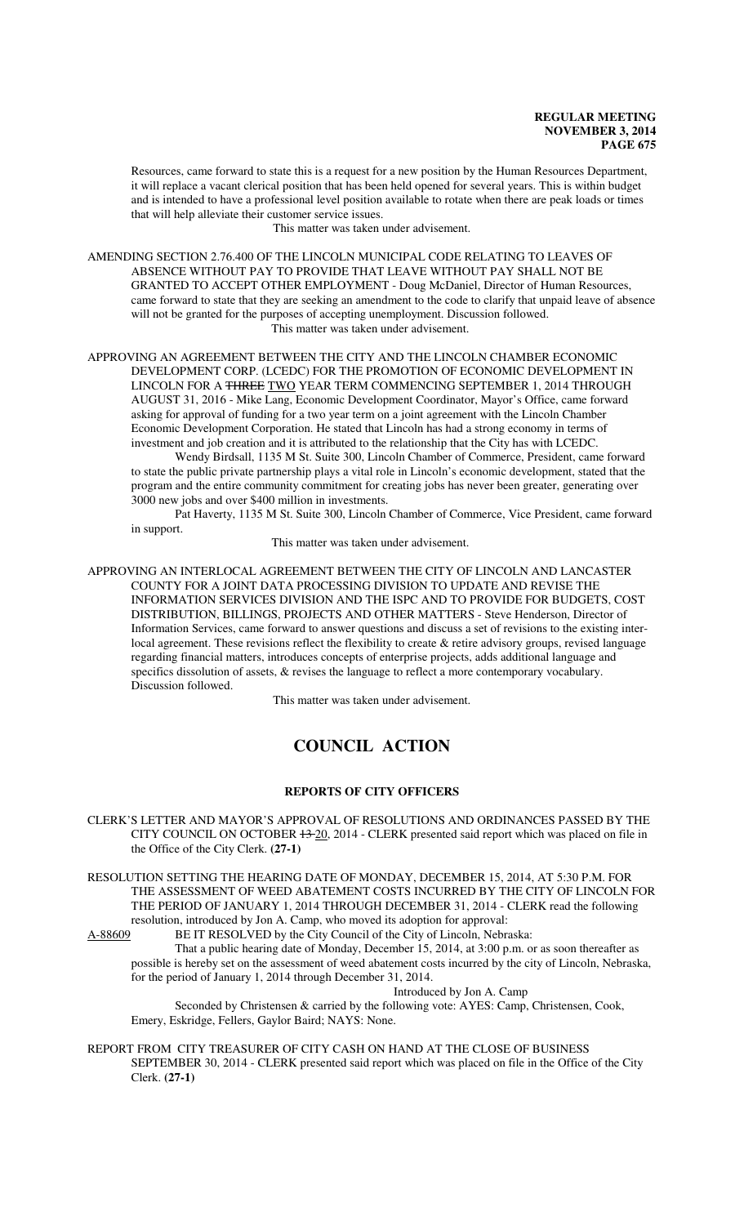Resources, came forward to state this is a request for a new position by the Human Resources Department, it will replace a vacant clerical position that has been held opened for several years. This is within budget and is intended to have a professional level position available to rotate when there are peak loads or times that will help alleviate their customer service issues.

This matter was taken under advisement.

AMENDING SECTION 2.76.400 OF THE LINCOLN MUNICIPAL CODE RELATING TO LEAVES OF ABSENCE WITHOUT PAY TO PROVIDE THAT LEAVE WITHOUT PAY SHALL NOT BE GRANTED TO ACCEPT OTHER EMPLOYMENT - Doug McDaniel, Director of Human Resources, came forward to state that they are seeking an amendment to the code to clarify that unpaid leave of absence will not be granted for the purposes of accepting unemployment. Discussion followed. This matter was taken under advisement.

APPROVING AN AGREEMENT BETWEEN THE CITY AND THE LINCOLN CHAMBER ECONOMIC DEVELOPMENT CORP. (LCEDC) FOR THE PROMOTION OF ECONOMIC DEVELOPMENT IN LINCOLN FOR A THREE TWO YEAR TERM COMMENCING SEPTEMBER 1, 2014 THROUGH AUGUST 31, 2016 - Mike Lang, Economic Development Coordinator, Mayor's Office, came forward asking for approval of funding for a two year term on a joint agreement with the Lincoln Chamber Economic Development Corporation. He stated that Lincoln has had a strong economy in terms of investment and job creation and it is attributed to the relationship that the City has with LCEDC.

Wendy Birdsall, 1135 M St. Suite 300, Lincoln Chamber of Commerce, President, came forward to state the public private partnership plays a vital role in Lincoln's economic development, stated that the program and the entire community commitment for creating jobs has never been greater, generating over 3000 new jobs and over \$400 million in investments.

Pat Haverty, 1135 M St. Suite 300, Lincoln Chamber of Commerce, Vice President, came forward in support.

This matter was taken under advisement.

APPROVING AN INTERLOCAL AGREEMENT BETWEEN THE CITY OF LINCOLN AND LANCASTER COUNTY FOR A JOINT DATA PROCESSING DIVISION TO UPDATE AND REVISE THE INFORMATION SERVICES DIVISION AND THE ISPC AND TO PROVIDE FOR BUDGETS, COST DISTRIBUTION, BILLINGS, PROJECTS AND OTHER MATTERS - Steve Henderson, Director of Information Services, came forward to answer questions and discuss a set of revisions to the existing interlocal agreement. These revisions reflect the flexibility to create & retire advisory groups, revised language regarding financial matters, introduces concepts of enterprise projects, adds additional language and specifics dissolution of assets, & revises the language to reflect a more contemporary vocabulary. Discussion followed.

This matter was taken under advisement.

# **COUNCIL ACTION**

## **REPORTS OF CITY OFFICERS**

- CLERK'S LETTER AND MAYOR'S APPROVAL OF RESOLUTIONS AND ORDINANCES PASSED BY THE CITY COUNCIL ON OCTOBER 13-20, 2014 - CLERK presented said report which was placed on file in the Office of the City Clerk. **(27-1)**
- RESOLUTION SETTING THE HEARING DATE OF MONDAY, DECEMBER 15, 2014, AT 5:30 P.M. FOR THE ASSESSMENT OF WEED ABATEMENT COSTS INCURRED BY THE CITY OF LINCOLN FOR THE PERIOD OF JANUARY 1, 2014 THROUGH DECEMBER 31, 2014 - CLERK read the following resolution, introduced by Jon A. Camp, who moved its adoption for approval:

A-88609 BE IT RESOLVED by the City Council of the City of Lincoln, Nebraska: That a public hearing date of Monday, December 15, 2014, at 3:00 p.m. or as soon thereafter as

possible is hereby set on the assessment of weed abatement costs incurred by the city of Lincoln, Nebraska, for the period of January 1, 2014 through December 31, 2014. Introduced by Jon A. Camp

Seconded by Christensen & carried by the following vote: AYES: Camp, Christensen, Cook, Emery, Eskridge, Fellers, Gaylor Baird; NAYS: None.

REPORT FROM CITY TREASURER OF CITY CASH ON HAND AT THE CLOSE OF BUSINESS SEPTEMBER 30, 2014 - CLERK presented said report which was placed on file in the Office of the City Clerk. **(27-1)**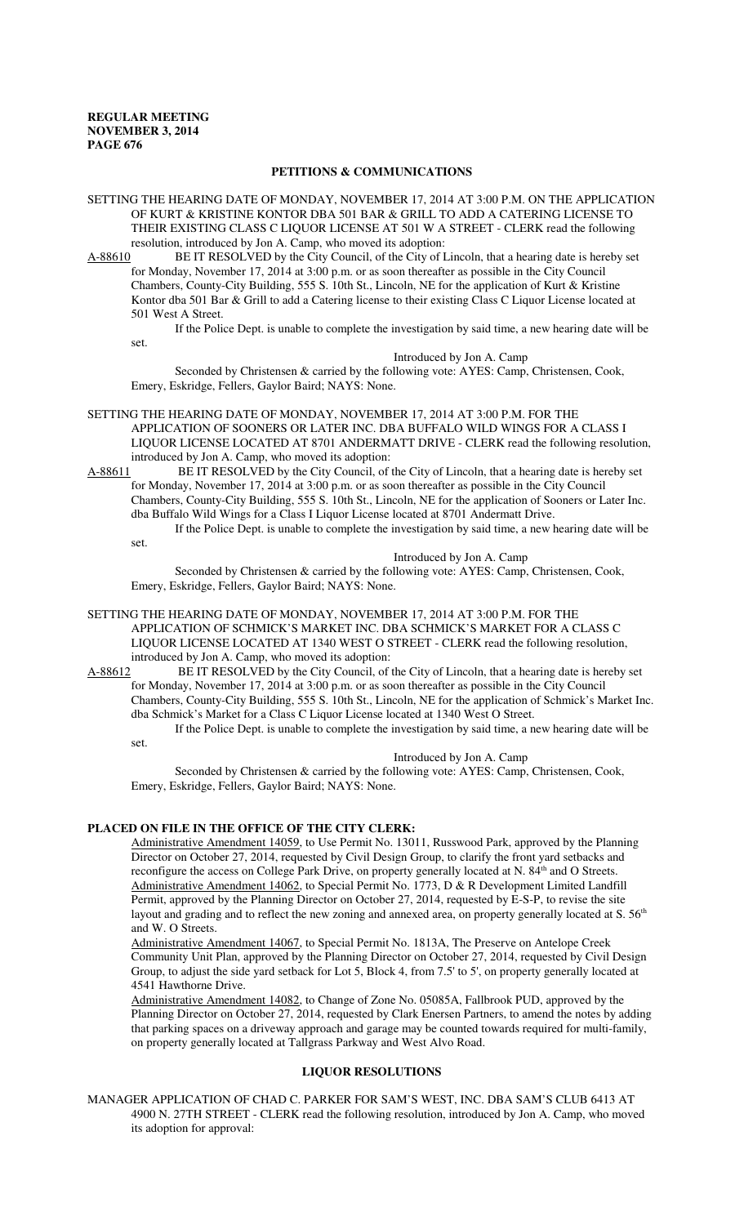#### **PETITIONS & COMMUNICATIONS**

SETTING THE HEARING DATE OF MONDAY, NOVEMBER 17, 2014 AT 3:00 P.M. ON THE APPLICATION OF KURT & KRISTINE KONTOR DBA 501 BAR & GRILL TO ADD A CATERING LICENSE TO THEIR EXISTING CLASS C LIQUOR LICENSE AT 501 W A STREET - CLERK read the following resolution, introduced by Jon A. Camp, who moved its adoption:<br>A-88610 BE IT RESOLVED by the City Council, of the City of I

BE IT RESOLVED by the City Council, of the City of Lincoln, that a hearing date is hereby set for Monday, November 17, 2014 at 3:00 p.m. or as soon thereafter as possible in the City Council Chambers, County-City Building, 555 S. 10th St., Lincoln, NE for the application of Kurt & Kristine Kontor dba 501 Bar & Grill to add a Catering license to their existing Class C Liquor License located at 501 West A Street.

If the Police Dept. is unable to complete the investigation by said time, a new hearing date will be set.

Introduced by Jon A. Camp

Seconded by Christensen & carried by the following vote: AYES: Camp, Christensen, Cook, Emery, Eskridge, Fellers, Gaylor Baird; NAYS: None.

- SETTING THE HEARING DATE OF MONDAY, NOVEMBER 17, 2014 AT 3:00 P.M. FOR THE APPLICATION OF SOONERS OR LATER INC. DBA BUFFALO WILD WINGS FOR A CLASS I LIQUOR LICENSE LOCATED AT 8701 ANDERMATT DRIVE - CLERK read the following resolution, introduced by Jon A. Camp, who moved its adoption:
- A-88611 BE IT RESOLVED by the City Council, of the City of Lincoln, that a hearing date is hereby set for Monday, November 17, 2014 at 3:00 p.m. or as soon thereafter as possible in the City Council Chambers, County-City Building, 555 S. 10th St., Lincoln, NE for the application of Sooners or Later Inc. dba Buffalo Wild Wings for a Class I Liquor License located at 8701 Andermatt Drive. If the Police Dept. is unable to complete the investigation by said time, a new hearing date will be

set.

Introduced by Jon A. Camp

Seconded by Christensen & carried by the following vote: AYES: Camp, Christensen, Cook, Emery, Eskridge, Fellers, Gaylor Baird; NAYS: None.

SETTING THE HEARING DATE OF MONDAY, NOVEMBER 17, 2014 AT 3:00 P.M. FOR THE APPLICATION OF SCHMICK'S MARKET INC. DBA SCHMICK'S MARKET FOR A CLASS C LIQUOR LICENSE LOCATED AT 1340 WEST O STREET - CLERK read the following resolution, introduced by Jon A. Camp, who moved its adoption:

A-88612 BE IT RESOLVED by the City Council, of the City of Lincoln, that a hearing date is hereby set for Monday, November 17, 2014 at 3:00 p.m. or as soon thereafter as possible in the City Council Chambers, County-City Building, 555 S. 10th St., Lincoln, NE for the application of Schmick's Market Inc. dba Schmick's Market for a Class C Liquor License located at 1340 West O Street.

If the Police Dept. is unable to complete the investigation by said time, a new hearing date will be set.

Introduced by Jon A. Camp

Seconded by Christensen & carried by the following vote: AYES: Camp, Christensen, Cook, Emery, Eskridge, Fellers, Gaylor Baird; NAYS: None.

#### **PLACED ON FILE IN THE OFFICE OF THE CITY CLERK:**

Administrative Amendment 14059, to Use Permit No. 13011, Russwood Park, approved by the Planning Director on October 27, 2014, requested by Civil Design Group, to clarify the front yard setbacks and reconfigure the access on College Park Drive, on property generally located at N. 84<sup>th</sup> and O Streets. Administrative Amendment 14062, to Special Permit No. 1773, D & R Development Limited Landfill Permit, approved by the Planning Director on October 27, 2014, requested by E-S-P, to revise the site layout and grading and to reflect the new zoning and annexed area, on property generally located at S. 56<sup>th</sup> and W. O Streets.

Administrative Amendment 14067, to Special Permit No. 1813A, The Preserve on Antelope Creek Community Unit Plan, approved by the Planning Director on October 27, 2014, requested by Civil Design Group, to adjust the side yard setback for Lot 5, Block 4, from 7.5' to 5', on property generally located at 4541 Hawthorne Drive.

Administrative Amendment 14082, to Change of Zone No. 05085A, Fallbrook PUD, approved by the Planning Director on October 27, 2014, requested by Clark Enersen Partners, to amend the notes by adding that parking spaces on a driveway approach and garage may be counted towards required for multi-family, on property generally located at Tallgrass Parkway and West Alvo Road.

#### **LIQUOR RESOLUTIONS**

MANAGER APPLICATION OF CHAD C. PARKER FOR SAM'S WEST, INC. DBA SAM'S CLUB 6413 AT 4900 N. 27TH STREET - CLERK read the following resolution, introduced by Jon A. Camp, who moved its adoption for approval: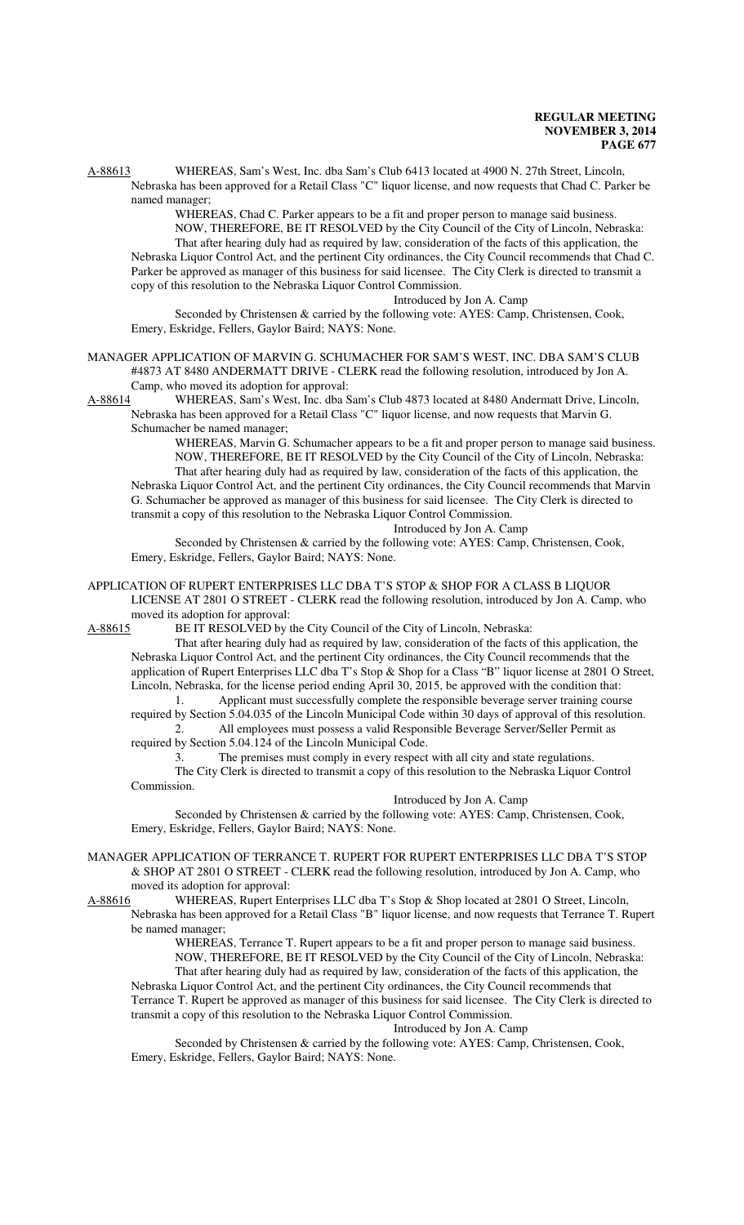A-88613 WHEREAS, Sam's West, Inc. dba Sam's Club 6413 located at 4900 N. 27th Street, Lincoln, Nebraska has been approved for a Retail Class "C" liquor license, and now requests that Chad C. Parker be named manager;

WHEREAS, Chad C. Parker appears to be a fit and proper person to manage said business. NOW, THEREFORE, BE IT RESOLVED by the City Council of the City of Lincoln, Nebraska: That after hearing duly had as required by law, consideration of the facts of this application, the Nebraska Liquor Control Act, and the pertinent City ordinances, the City Council recommends that Chad C. Parker be approved as manager of this business for said licensee. The City Clerk is directed to transmit a copy of this resolution to the Nebraska Liquor Control Commission.

Introduced by Jon A. Camp Seconded by Christensen & carried by the following vote: AYES: Camp, Christensen, Cook, Emery, Eskridge, Fellers, Gaylor Baird; NAYS: None.

MANAGER APPLICATION OF MARVIN G. SCHUMACHER FOR SAM'S WEST, INC. DBA SAM'S CLUB #4873 AT 8480 ANDERMATT DRIVE - CLERK read the following resolution, introduced by Jon A. Camp, who moved its adoption for approval:

A-88614 WHEREAS, Sam's West, Inc. dba Sam's Club 4873 located at 8480 Andermatt Drive, Lincoln, Nebraska has been approved for a Retail Class "C" liquor license, and now requests that Marvin G. Schumacher be named manager;

WHEREAS, Marvin G. Schumacher appears to be a fit and proper person to manage said business. NOW, THEREFORE, BE IT RESOLVED by the City Council of the City of Lincoln, Nebraska: That after hearing duly had as required by law, consideration of the facts of this application, the Nebraska Liquor Control Act, and the pertinent City ordinances, the City Council recommends that Marvin G. Schumacher be approved as manager of this business for said licensee. The City Clerk is directed to transmit a copy of this resolution to the Nebraska Liquor Control Commission.

Introduced by Jon A. Camp

Seconded by Christensen & carried by the following vote: AYES: Camp, Christensen, Cook, Emery, Eskridge, Fellers, Gaylor Baird; NAYS: None.

APPLICATION OF RUPERT ENTERPRISES LLC DBA T'S STOP & SHOP FOR A CLASS B LIQUOR LICENSE AT 2801 O STREET - CLERK read the following resolution, introduced by Jon A. Camp, who moved its adoption for approval:

A-88615 BE IT RESOLVED by the City Council of the City of Lincoln, Nebraska:

That after hearing duly had as required by law, consideration of the facts of this application, the Nebraska Liquor Control Act, and the pertinent City ordinances, the City Council recommends that the application of Rupert Enterprises LLC dba T's Stop & Shop for a Class "B" liquor license at 2801 O Street, Lincoln, Nebraska, for the license period ending April 30, 2015, be approved with the condition that:

1. Applicant must successfully complete the responsible beverage server training course required by Section 5.04.035 of the Lincoln Municipal Code within 30 days of approval of this resolution. 2. All employees must possess a valid Responsible Beverage Server/Seller Permit as

required by Section 5.04.124 of the Lincoln Municipal Code. 3. The premises must comply in every respect with all city and state regulations.

The City Clerk is directed to transmit a copy of this resolution to the Nebraska Liquor Control Commission.

Introduced by Jon A. Camp

Seconded by Christensen & carried by the following vote: AYES: Camp, Christensen, Cook, Emery, Eskridge, Fellers, Gaylor Baird; NAYS: None.

#### MANAGER APPLICATION OF TERRANCE T. RUPERT FOR RUPERT ENTERPRISES LLC DBA T'S STOP & SHOP AT 2801 O STREET - CLERK read the following resolution, introduced by Jon A. Camp, who moved its adoption for approval:

A-88616 WHEREAS, Rupert Enterprises LLC dba T's Stop & Shop located at 2801 O Street, Lincoln, Nebraska has been approved for a Retail Class "B" liquor license, and now requests that Terrance T. Rupert

be named manager;

WHEREAS, Terrance T. Rupert appears to be a fit and proper person to manage said business. NOW, THEREFORE, BE IT RESOLVED by the City Council of the City of Lincoln, Nebraska: That after hearing duly had as required by law, consideration of the facts of this application, the

Nebraska Liquor Control Act, and the pertinent City ordinances, the City Council recommends that Terrance T. Rupert be approved as manager of this business for said licensee. The City Clerk is directed to transmit a copy of this resolution to the Nebraska Liquor Control Commission.

Introduced by Jon A. Camp

Seconded by Christensen & carried by the following vote: AYES: Camp, Christensen, Cook, Emery, Eskridge, Fellers, Gaylor Baird; NAYS: None.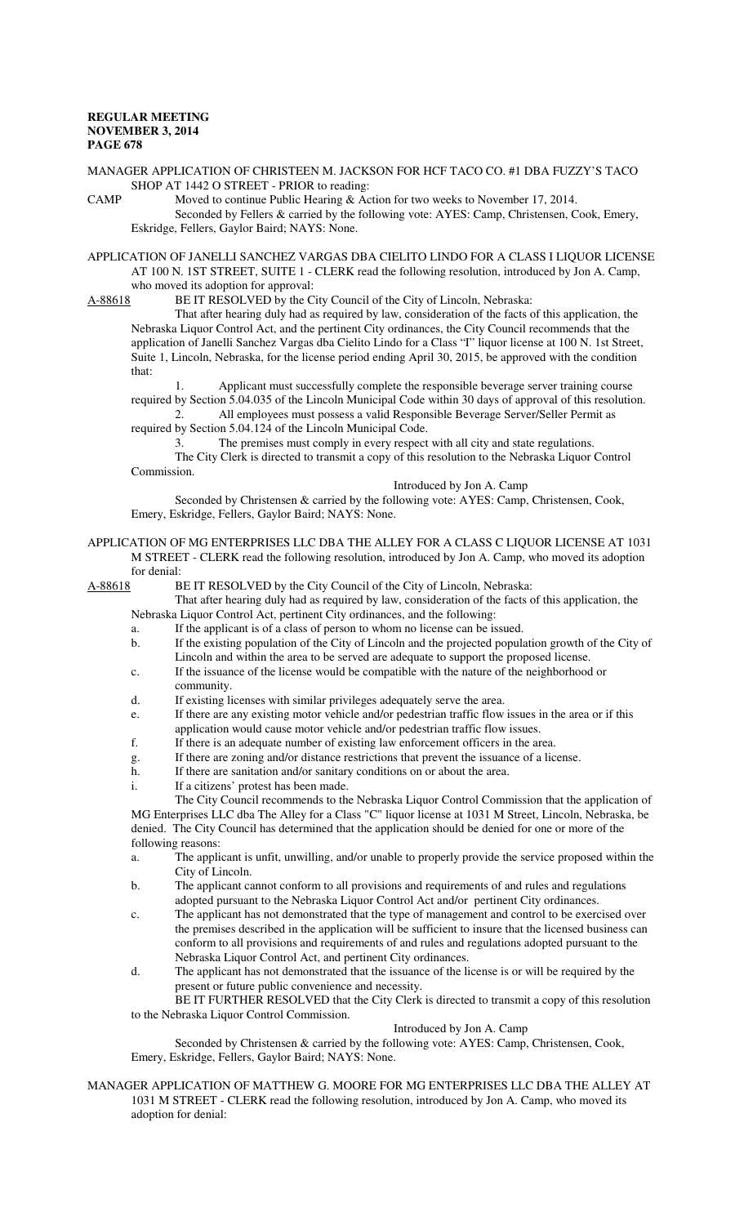MANAGER APPLICATION OF CHRISTEEN M. JACKSON FOR HCF TACO CO. #1 DBA FUZZY'S TACO SHOP AT 1442 O STREET - PRIOR to reading:

CAMP Moved to continue Public Hearing & Action for two weeks to November 17, 2014.

Seconded by Fellers & carried by the following vote: AYES: Camp, Christensen, Cook, Emery, Eskridge, Fellers, Gaylor Baird; NAYS: None.

APPLICATION OF JANELLI SANCHEZ VARGAS DBA CIELITO LINDO FOR A CLASS I LIQUOR LICENSE AT 100 N. 1ST STREET, SUITE 1 - CLERK read the following resolution, introduced by Jon A. Camp, who moved its adoption for approval:

A-88618 BE IT RESOLVED by the City Council of the City of Lincoln, Nebraska:

That after hearing duly had as required by law, consideration of the facts of this application, the Nebraska Liquor Control Act, and the pertinent City ordinances, the City Council recommends that the application of Janelli Sanchez Vargas dba Cielito Lindo for a Class "I" liquor license at 100 N. 1st Street, Suite 1, Lincoln, Nebraska, for the license period ending April 30, 2015, be approved with the condition that:

1. Applicant must successfully complete the responsible beverage server training course required by Section 5.04.035 of the Lincoln Municipal Code within 30 days of approval of this resolution. 2. All employees must possess a valid Responsible Beverage Server/Seller Permit as

required by Section 5.04.124 of the Lincoln Municipal Code.

3. The premises must comply in every respect with all city and state regulations.

The City Clerk is directed to transmit a copy of this resolution to the Nebraska Liquor Control Commission.

Introduced by Jon A. Camp Seconded by Christensen & carried by the following vote: AYES: Camp, Christensen, Cook, Emery, Eskridge, Fellers, Gaylor Baird; NAYS: None.

#### APPLICATION OF MG ENTERPRISES LLC DBA THE ALLEY FOR A CLASS C LIQUOR LICENSE AT 1031 M STREET - CLERK read the following resolution, introduced by Jon A. Camp, who moved its adoption for denial:

A-88618 BE IT RESOLVED by the City Council of the City of Lincoln, Nebraska:

That after hearing duly had as required by law, consideration of the facts of this application, the Nebraska Liquor Control Act, pertinent City ordinances, and the following:

a. If the applicant is of a class of person to whom no license can be issued.

- b. If the existing population of the City of Lincoln and the projected population growth of the City of Lincoln and within the area to be served are adequate to support the proposed license.
- c. If the issuance of the license would be compatible with the nature of the neighborhood or community.
- d. If existing licenses with similar privileges adequately serve the area.
- e. If there are any existing motor vehicle and/or pedestrian traffic flow issues in the area or if this application would cause motor vehicle and/or pedestrian traffic flow issues.
- f. If there is an adequate number of existing law enforcement officers in the area.
- g. If there are zoning and/or distance restrictions that prevent the issuance of a license.
- h. If there are sanitation and/or sanitary conditions on or about the area.
- i. If a citizens' protest has been made.

The City Council recommends to the Nebraska Liquor Control Commission that the application of MG Enterprises LLC dba The Alley for a Class "C" liquor license at 1031 M Street, Lincoln, Nebraska, be denied. The City Council has determined that the application should be denied for one or more of the following reasons:

- a. The applicant is unfit, unwilling, and/or unable to properly provide the service proposed within the City of Lincoln.
- b. The applicant cannot conform to all provisions and requirements of and rules and regulations adopted pursuant to the Nebraska Liquor Control Act and/or pertinent City ordinances.
- c. The applicant has not demonstrated that the type of management and control to be exercised over the premises described in the application will be sufficient to insure that the licensed business can conform to all provisions and requirements of and rules and regulations adopted pursuant to the Nebraska Liquor Control Act, and pertinent City ordinances.
- d. The applicant has not demonstrated that the issuance of the license is or will be required by the present or future public convenience and necessity.

BE IT FURTHER RESOLVED that the City Clerk is directed to transmit a copy of this resolution to the Nebraska Liquor Control Commission.

## Introduced by Jon A. Camp

Seconded by Christensen & carried by the following vote: AYES: Camp, Christensen, Cook, Emery, Eskridge, Fellers, Gaylor Baird; NAYS: None.

MANAGER APPLICATION OF MATTHEW G. MOORE FOR MG ENTERPRISES LLC DBA THE ALLEY AT 1031 M STREET - CLERK read the following resolution, introduced by Jon A. Camp, who moved its adoption for denial: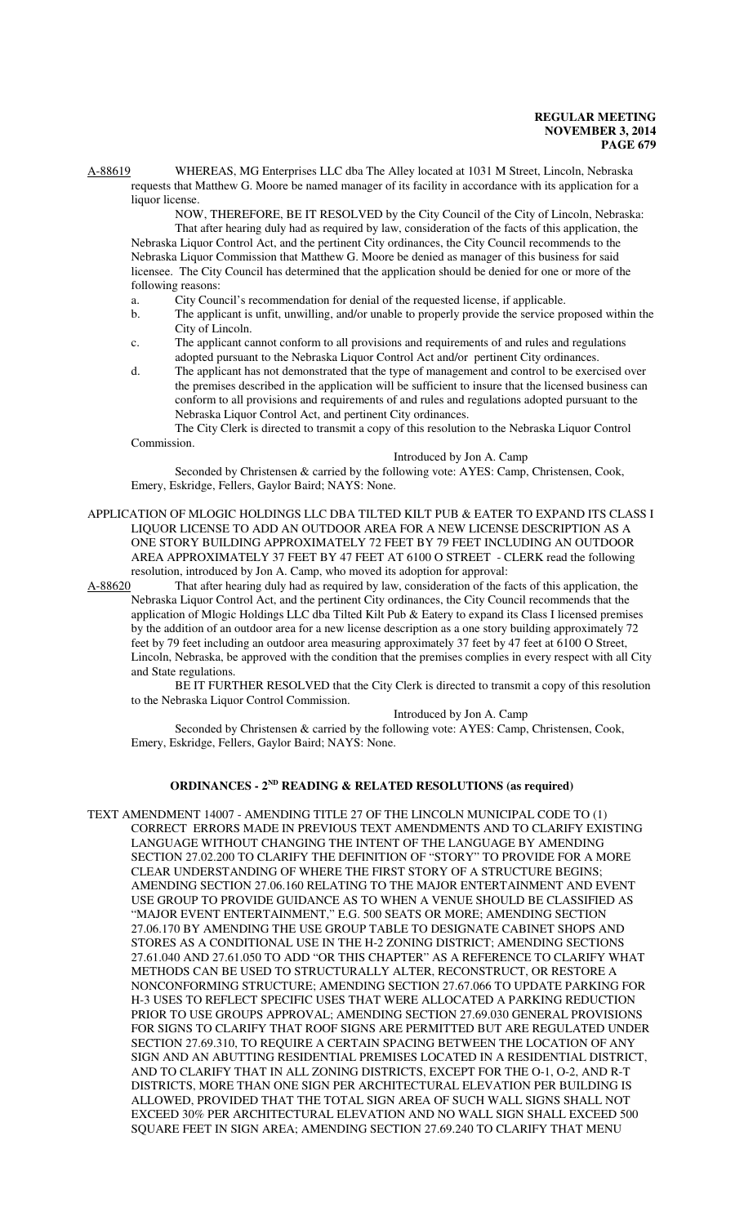A-88619 WHEREAS, MG Enterprises LLC dba The Alley located at 1031 M Street, Lincoln, Nebraska requests that Matthew G. Moore be named manager of its facility in accordance with its application for a liquor license.

NOW, THEREFORE, BE IT RESOLVED by the City Council of the City of Lincoln, Nebraska: That after hearing duly had as required by law, consideration of the facts of this application, the Nebraska Liquor Control Act, and the pertinent City ordinances, the City Council recommends to the Nebraska Liquor Commission that Matthew G. Moore be denied as manager of this business for said licensee. The City Council has determined that the application should be denied for one or more of the following reasons:

- a. City Council's recommendation for denial of the requested license, if applicable.
- b. The applicant is unfit, unwilling, and/or unable to properly provide the service proposed within the City of Lincoln.

c. The applicant cannot conform to all provisions and requirements of and rules and regulations adopted pursuant to the Nebraska Liquor Control Act and/or pertinent City ordinances.

d. The applicant has not demonstrated that the type of management and control to be exercised over the premises described in the application will be sufficient to insure that the licensed business can conform to all provisions and requirements of and rules and regulations adopted pursuant to the Nebraska Liquor Control Act, and pertinent City ordinances.

The City Clerk is directed to transmit a copy of this resolution to the Nebraska Liquor Control Commission.

#### Introduced by Jon A. Camp

Seconded by Christensen & carried by the following vote: AYES: Camp, Christensen, Cook, Emery, Eskridge, Fellers, Gaylor Baird; NAYS: None.

APPLICATION OF MLOGIC HOLDINGS LLC DBA TILTED KILT PUB & EATER TO EXPAND ITS CLASS I LIQUOR LICENSE TO ADD AN OUTDOOR AREA FOR A NEW LICENSE DESCRIPTION AS A ONE STORY BUILDING APPROXIMATELY 72 FEET BY 79 FEET INCLUDING AN OUTDOOR AREA APPROXIMATELY 37 FEET BY 47 FEET AT 6100 O STREET - CLERK read the following resolution, introduced by Jon A. Camp, who moved its adoption for approval:

A-88620 That after hearing duly had as required by law, consideration of the facts of this application, the Nebraska Liquor Control Act, and the pertinent City ordinances, the City Council recommends that the application of Mlogic Holdings LLC dba Tilted Kilt Pub & Eatery to expand its Class I licensed premises by the addition of an outdoor area for a new license description as a one story building approximately 72 feet by 79 feet including an outdoor area measuring approximately 37 feet by 47 feet at 6100 O Street, Lincoln, Nebraska, be approved with the condition that the premises complies in every respect with all City and State regulations.

BE IT FURTHER RESOLVED that the City Clerk is directed to transmit a copy of this resolution to the Nebraska Liquor Control Commission.

Introduced by Jon A. Camp

Seconded by Christensen & carried by the following vote: AYES: Camp, Christensen, Cook, Emery, Eskridge, Fellers, Gaylor Baird; NAYS: None.

## **ORDINANCES - 2ND READING & RELATED RESOLUTIONS (as required)**

TEXT AMENDMENT 14007 - AMENDING TITLE 27 OF THE LINCOLN MUNICIPAL CODE TO (1) CORRECT ERRORS MADE IN PREVIOUS TEXT AMENDMENTS AND TO CLARIFY EXISTING LANGUAGE WITHOUT CHANGING THE INTENT OF THE LANGUAGE BY AMENDING SECTION 27.02.200 TO CLARIFY THE DEFINITION OF "STORY" TO PROVIDE FOR A MORE CLEAR UNDERSTANDING OF WHERE THE FIRST STORY OF A STRUCTURE BEGINS; AMENDING SECTION 27.06.160 RELATING TO THE MAJOR ENTERTAINMENT AND EVENT USE GROUP TO PROVIDE GUIDANCE AS TO WHEN A VENUE SHOULD BE CLASSIFIED AS "MAJOR EVENT ENTERTAINMENT," E.G. 500 SEATS OR MORE; AMENDING SECTION 27.06.170 BY AMENDING THE USE GROUP TABLE TO DESIGNATE CABINET SHOPS AND STORES AS A CONDITIONAL USE IN THE H-2 ZONING DISTRICT; AMENDING SECTIONS 27.61.040 AND 27.61.050 TO ADD "OR THIS CHAPTER" AS A REFERENCE TO CLARIFY WHAT METHODS CAN BE USED TO STRUCTURALLY ALTER, RECONSTRUCT, OR RESTORE A NONCONFORMING STRUCTURE; AMENDING SECTION 27.67.066 TO UPDATE PARKING FOR H-3 USES TO REFLECT SPECIFIC USES THAT WERE ALLOCATED A PARKING REDUCTION PRIOR TO USE GROUPS APPROVAL; AMENDING SECTION 27.69.030 GENERAL PROVISIONS FOR SIGNS TO CLARIFY THAT ROOF SIGNS ARE PERMITTED BUT ARE REGULATED UNDER SECTION 27.69.310, TO REQUIRE A CERTAIN SPACING BETWEEN THE LOCATION OF ANY SIGN AND AN ABUTTING RESIDENTIAL PREMISES LOCATED IN A RESIDENTIAL DISTRICT, AND TO CLARIFY THAT IN ALL ZONING DISTRICTS, EXCEPT FOR THE O-1, O-2, AND R-T DISTRICTS, MORE THAN ONE SIGN PER ARCHITECTURAL ELEVATION PER BUILDING IS ALLOWED, PROVIDED THAT THE TOTAL SIGN AREA OF SUCH WALL SIGNS SHALL NOT EXCEED 30% PER ARCHITECTURAL ELEVATION AND NO WALL SIGN SHALL EXCEED 500 SQUARE FEET IN SIGN AREA; AMENDING SECTION 27.69.240 TO CLARIFY THAT MENU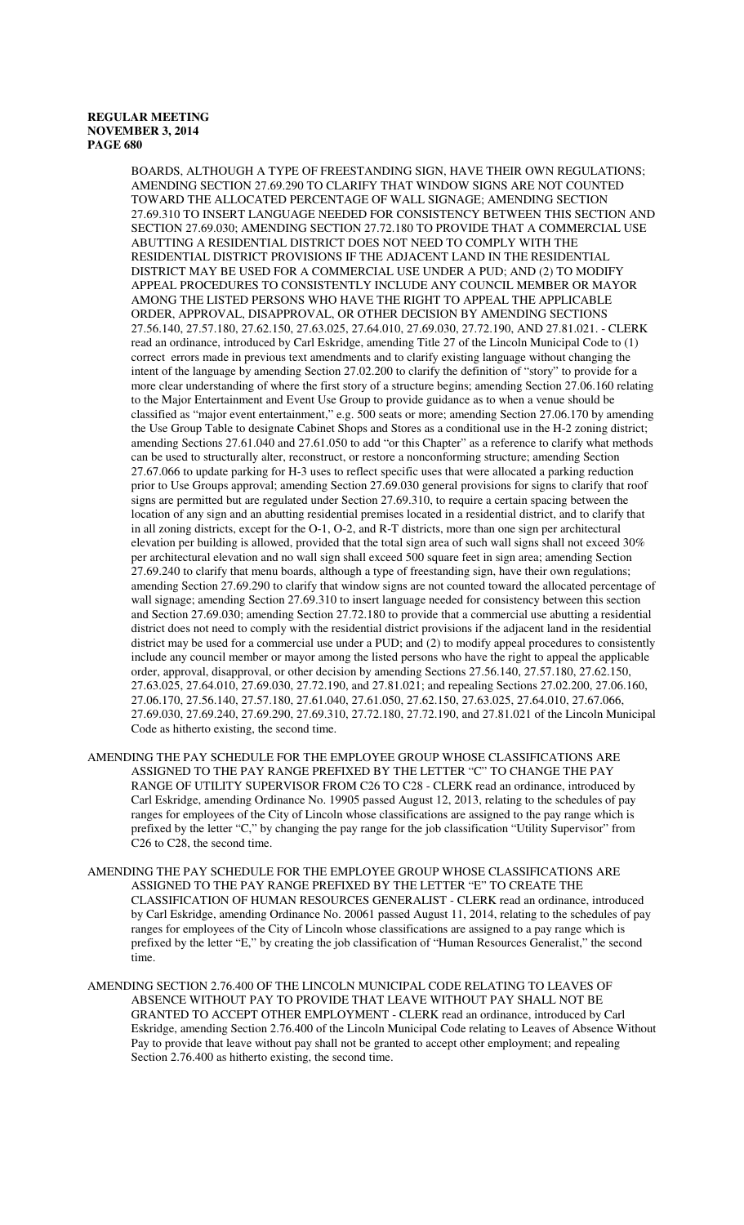BOARDS, ALTHOUGH A TYPE OF FREESTANDING SIGN, HAVE THEIR OWN REGULATIONS; AMENDING SECTION 27.69.290 TO CLARIFY THAT WINDOW SIGNS ARE NOT COUNTED TOWARD THE ALLOCATED PERCENTAGE OF WALL SIGNAGE; AMENDING SECTION 27.69.310 TO INSERT LANGUAGE NEEDED FOR CONSISTENCY BETWEEN THIS SECTION AND SECTION 27.69.030; AMENDING SECTION 27.72.180 TO PROVIDE THAT A COMMERCIAL USE ABUTTING A RESIDENTIAL DISTRICT DOES NOT NEED TO COMPLY WITH THE RESIDENTIAL DISTRICT PROVISIONS IF THE ADJACENT LAND IN THE RESIDENTIAL DISTRICT MAY BE USED FOR A COMMERCIAL USE UNDER A PUD; AND (2) TO MODIFY APPEAL PROCEDURES TO CONSISTENTLY INCLUDE ANY COUNCIL MEMBER OR MAYOR AMONG THE LISTED PERSONS WHO HAVE THE RIGHT TO APPEAL THE APPLICABLE ORDER, APPROVAL, DISAPPROVAL, OR OTHER DECISION BY AMENDING SECTIONS 27.56.140, 27.57.180, 27.62.150, 27.63.025, 27.64.010, 27.69.030, 27.72.190, AND 27.81.021. - CLERK read an ordinance, introduced by Carl Eskridge, amending Title 27 of the Lincoln Municipal Code to (1) correct errors made in previous text amendments and to clarify existing language without changing the intent of the language by amending Section 27.02.200 to clarify the definition of "story" to provide for a more clear understanding of where the first story of a structure begins; amending Section 27.06.160 relating to the Major Entertainment and Event Use Group to provide guidance as to when a venue should be classified as "major event entertainment," e.g. 500 seats or more; amending Section 27.06.170 by amending the Use Group Table to designate Cabinet Shops and Stores as a conditional use in the H-2 zoning district; amending Sections 27.61.040 and 27.61.050 to add "or this Chapter" as a reference to clarify what methods can be used to structurally alter, reconstruct, or restore a nonconforming structure; amending Section 27.67.066 to update parking for H-3 uses to reflect specific uses that were allocated a parking reduction prior to Use Groups approval; amending Section 27.69.030 general provisions for signs to clarify that roof signs are permitted but are regulated under Section 27.69.310, to require a certain spacing between the location of any sign and an abutting residential premises located in a residential district, and to clarify that in all zoning districts, except for the O-1, O-2, and R-T districts, more than one sign per architectural elevation per building is allowed, provided that the total sign area of such wall signs shall not exceed 30% per architectural elevation and no wall sign shall exceed 500 square feet in sign area; amending Section 27.69.240 to clarify that menu boards, although a type of freestanding sign, have their own regulations; amending Section 27.69.290 to clarify that window signs are not counted toward the allocated percentage of wall signage; amending Section 27.69.310 to insert language needed for consistency between this section and Section 27.69.030; amending Section 27.72.180 to provide that a commercial use abutting a residential district does not need to comply with the residential district provisions if the adjacent land in the residential district may be used for a commercial use under a PUD; and (2) to modify appeal procedures to consistently include any council member or mayor among the listed persons who have the right to appeal the applicable order, approval, disapproval, or other decision by amending Sections 27.56.140, 27.57.180, 27.62.150, 27.63.025, 27.64.010, 27.69.030, 27.72.190, and 27.81.021; and repealing Sections 27.02.200, 27.06.160, 27.06.170, 27.56.140, 27.57.180, 27.61.040, 27.61.050, 27.62.150, 27.63.025, 27.64.010, 27.67.066, 27.69.030, 27.69.240, 27.69.290, 27.69.310, 27.72.180, 27.72.190, and 27.81.021 of the Lincoln Municipal Code as hitherto existing, the second time.

- AMENDING THE PAY SCHEDULE FOR THE EMPLOYEE GROUP WHOSE CLASSIFICATIONS ARE ASSIGNED TO THE PAY RANGE PREFIXED BY THE LETTER "C" TO CHANGE THE PAY RANGE OF UTILITY SUPERVISOR FROM C26 TO C28 - CLERK read an ordinance, introduced by Carl Eskridge, amending Ordinance No. 19905 passed August 12, 2013, relating to the schedules of pay ranges for employees of the City of Lincoln whose classifications are assigned to the pay range which is prefixed by the letter "C," by changing the pay range for the job classification "Utility Supervisor" from  $C26$  to  $C28$ , the second time.
- AMENDING THE PAY SCHEDULE FOR THE EMPLOYEE GROUP WHOSE CLASSIFICATIONS ARE ASSIGNED TO THE PAY RANGE PREFIXED BY THE LETTER "E" TO CREATE THE CLASSIFICATION OF HUMAN RESOURCES GENERALIST - CLERK read an ordinance, introduced by Carl Eskridge, amending Ordinance No. 20061 passed August 11, 2014, relating to the schedules of pay ranges for employees of the City of Lincoln whose classifications are assigned to a pay range which is prefixed by the letter "E," by creating the job classification of "Human Resources Generalist," the second time.
- AMENDING SECTION 2.76.400 OF THE LINCOLN MUNICIPAL CODE RELATING TO LEAVES OF ABSENCE WITHOUT PAY TO PROVIDE THAT LEAVE WITHOUT PAY SHALL NOT BE GRANTED TO ACCEPT OTHER EMPLOYMENT - CLERK read an ordinance, introduced by Carl Eskridge, amending Section 2.76.400 of the Lincoln Municipal Code relating to Leaves of Absence Without Pay to provide that leave without pay shall not be granted to accept other employment; and repealing Section 2.76.400 as hitherto existing, the second time.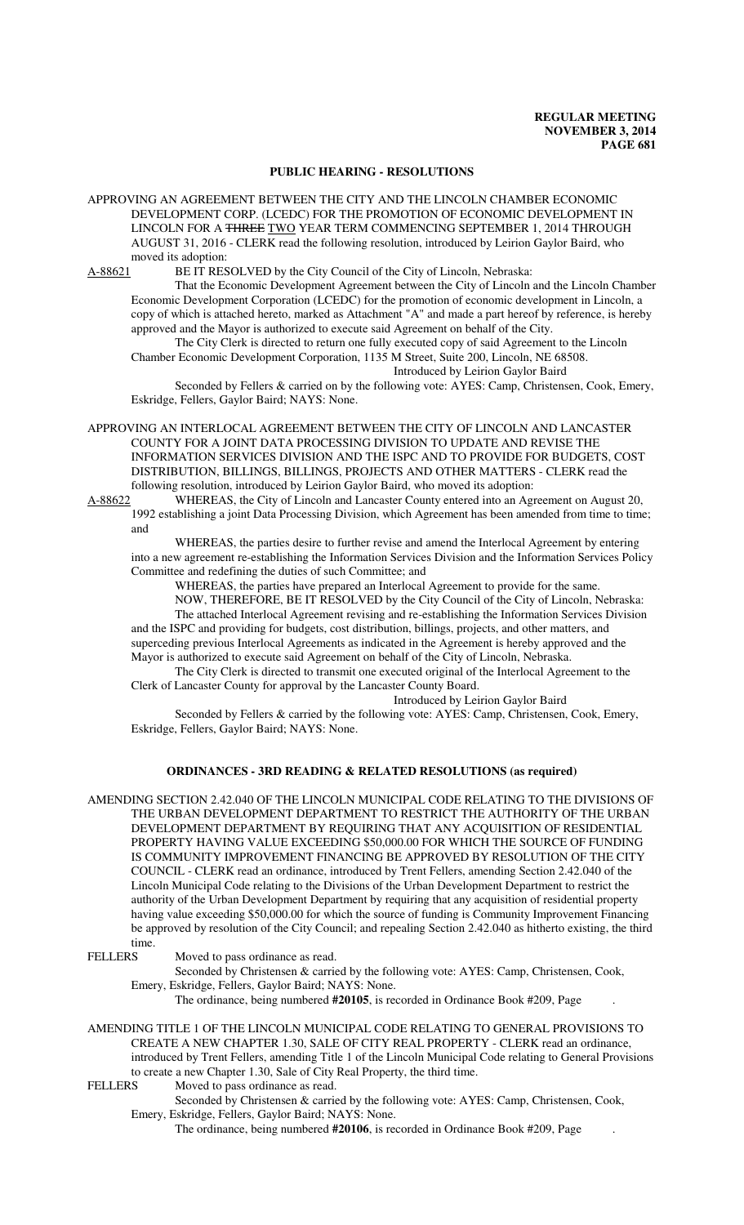#### **PUBLIC HEARING - RESOLUTIONS**

APPROVING AN AGREEMENT BETWEEN THE CITY AND THE LINCOLN CHAMBER ECONOMIC DEVELOPMENT CORP. (LCEDC) FOR THE PROMOTION OF ECONOMIC DEVELOPMENT IN LINCOLN FOR A THREE TWO YEAR TERM COMMENCING SEPTEMBER 1, 2014 THROUGH AUGUST 31, 2016 - CLERK read the following resolution, introduced by Leirion Gaylor Baird, who moved its adoption:

A-88621 BE IT RESOLVED by the City Council of the City of Lincoln, Nebraska:

That the Economic Development Agreement between the City of Lincoln and the Lincoln Chamber Economic Development Corporation (LCEDC) for the promotion of economic development in Lincoln, a copy of which is attached hereto, marked as Attachment "A" and made a part hereof by reference, is hereby approved and the Mayor is authorized to execute said Agreement on behalf of the City.

The City Clerk is directed to return one fully executed copy of said Agreement to the Lincoln Chamber Economic Development Corporation, 1135 M Street, Suite 200, Lincoln, NE 68508. Introduced by Leirion Gaylor Baird

Seconded by Fellers & carried on by the following vote: AYES: Camp, Christensen, Cook, Emery, Eskridge, Fellers, Gaylor Baird; NAYS: None.

APPROVING AN INTERLOCAL AGREEMENT BETWEEN THE CITY OF LINCOLN AND LANCASTER COUNTY FOR A JOINT DATA PROCESSING DIVISION TO UPDATE AND REVISE THE INFORMATION SERVICES DIVISION AND THE ISPC AND TO PROVIDE FOR BUDGETS, COST DISTRIBUTION, BILLINGS, BILLINGS, PROJECTS AND OTHER MATTERS - CLERK read the following resolution, introduced by Leirion Gaylor Baird, who moved its adoption:

A-88622 WHEREAS, the City of Lincoln and Lancaster County entered into an Agreement on August 20, 1992 establishing a joint Data Processing Division, which Agreement has been amended from time to time; and

WHEREAS, the parties desire to further revise and amend the Interlocal Agreement by entering into a new agreement re-establishing the Information Services Division and the Information Services Policy Committee and redefining the duties of such Committee; and

WHEREAS, the parties have prepared an Interlocal Agreement to provide for the same.

NOW, THEREFORE, BE IT RESOLVED by the City Council of the City of Lincoln, Nebraska: The attached Interlocal Agreement revising and re-establishing the Information Services Division and the ISPC and providing for budgets, cost distribution, billings, projects, and other matters, and superceding previous Interlocal Agreements as indicated in the Agreement is hereby approved and the Mayor is authorized to execute said Agreement on behalf of the City of Lincoln, Nebraska.

The City Clerk is directed to transmit one executed original of the Interlocal Agreement to the Clerk of Lancaster County for approval by the Lancaster County Board.

Introduced by Leirion Gaylor Baird

Seconded by Fellers & carried by the following vote: AYES: Camp, Christensen, Cook, Emery, Eskridge, Fellers, Gaylor Baird; NAYS: None.

#### **ORDINANCES - 3RD READING & RELATED RESOLUTIONS (as required)**

AMENDING SECTION 2.42.040 OF THE LINCOLN MUNICIPAL CODE RELATING TO THE DIVISIONS OF THE URBAN DEVELOPMENT DEPARTMENT TO RESTRICT THE AUTHORITY OF THE URBAN DEVELOPMENT DEPARTMENT BY REQUIRING THAT ANY ACQUISITION OF RESIDENTIAL PROPERTY HAVING VALUE EXCEEDING \$50,000.00 FOR WHICH THE SOURCE OF FUNDING IS COMMUNITY IMPROVEMENT FINANCING BE APPROVED BY RESOLUTION OF THE CITY COUNCIL - CLERK read an ordinance, introduced by Trent Fellers, amending Section 2.42.040 of the Lincoln Municipal Code relating to the Divisions of the Urban Development Department to restrict the authority of the Urban Development Department by requiring that any acquisition of residential property having value exceeding \$50,000.00 for which the source of funding is Community Improvement Financing be approved by resolution of the City Council; and repealing Section 2.42.040 as hitherto existing, the third time.

FELLERS Moved to pass ordinance as read.

Seconded by Christensen & carried by the following vote: AYES: Camp, Christensen, Cook, Emery, Eskridge, Fellers, Gaylor Baird; NAYS: None.

The ordinance, being numbered **#20105**, is recorded in Ordinance Book #209, Page .

AMENDING TITLE 1 OF THE LINCOLN MUNICIPAL CODE RELATING TO GENERAL PROVISIONS TO CREATE A NEW CHAPTER 1.30, SALE OF CITY REAL PROPERTY - CLERK read an ordinance, introduced by Trent Fellers, amending Title 1 of the Lincoln Municipal Code relating to General Provisions to create a new Chapter 1.30, Sale of City Real Property, the third time.<br>FELLERS Moved to pass ordinance as read.

Moved to pass ordinance as read.

Seconded by Christensen & carried by the following vote: AYES: Camp, Christensen, Cook, Emery, Eskridge, Fellers, Gaylor Baird; NAYS: None.

The ordinance, being numbered **#20106**, is recorded in Ordinance Book #209, Page .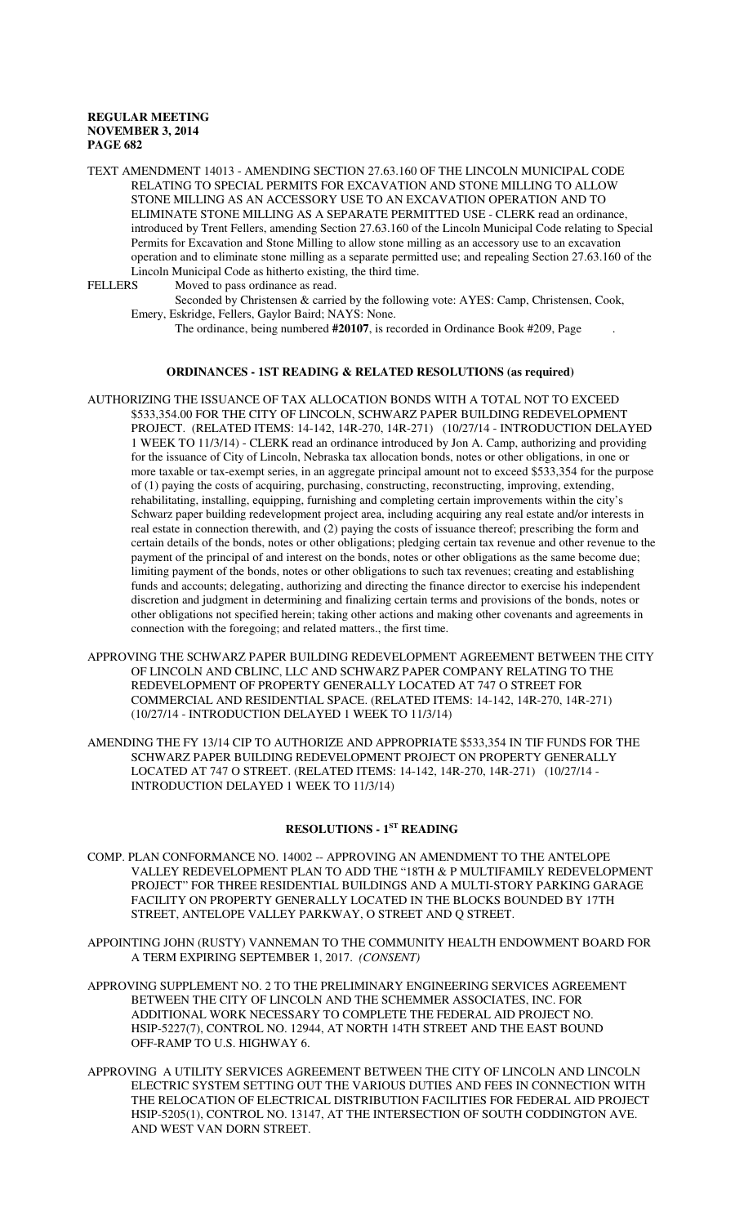TEXT AMENDMENT 14013 - AMENDING SECTION 27.63.160 OF THE LINCOLN MUNICIPAL CODE RELATING TO SPECIAL PERMITS FOR EXCAVATION AND STONE MILLING TO ALLOW STONE MILLING AS AN ACCESSORY USE TO AN EXCAVATION OPERATION AND TO ELIMINATE STONE MILLING AS A SEPARATE PERMITTED USE - CLERK read an ordinance, introduced by Trent Fellers, amending Section 27.63.160 of the Lincoln Municipal Code relating to Special Permits for Excavation and Stone Milling to allow stone milling as an accessory use to an excavation operation and to eliminate stone milling as a separate permitted use; and repealing Section 27.63.160 of the Lincoln Municipal Code as hitherto existing, the third time.<br>FELLERS Moved to pass ordinance as read.

Moved to pass ordinance as read.

Seconded by Christensen & carried by the following vote: AYES: Camp, Christensen, Cook, Emery, Eskridge, Fellers, Gaylor Baird; NAYS: None.

The ordinance, being numbered **#20107**, is recorded in Ordinance Book #209, Page .

### **ORDINANCES - 1ST READING & RELATED RESOLUTIONS (as required)**

- AUTHORIZING THE ISSUANCE OF TAX ALLOCATION BONDS WITH A TOTAL NOT TO EXCEED \$533,354.00 FOR THE CITY OF LINCOLN, SCHWARZ PAPER BUILDING REDEVELOPMENT PROJECT. (RELATED ITEMS: 14-142, 14R-270, 14R-271) (10/27/14 - INTRODUCTION DELAYED 1 WEEK TO 11/3/14) - CLERK read an ordinance introduced by Jon A. Camp, authorizing and providing for the issuance of City of Lincoln, Nebraska tax allocation bonds, notes or other obligations, in one or more taxable or tax-exempt series, in an aggregate principal amount not to exceed \$533,354 for the purpose of (1) paying the costs of acquiring, purchasing, constructing, reconstructing, improving, extending, rehabilitating, installing, equipping, furnishing and completing certain improvements within the city's Schwarz paper building redevelopment project area, including acquiring any real estate and/or interests in real estate in connection therewith, and (2) paying the costs of issuance thereof; prescribing the form and certain details of the bonds, notes or other obligations; pledging certain tax revenue and other revenue to the payment of the principal of and interest on the bonds, notes or other obligations as the same become due; limiting payment of the bonds, notes or other obligations to such tax revenues; creating and establishing funds and accounts; delegating, authorizing and directing the finance director to exercise his independent discretion and judgment in determining and finalizing certain terms and provisions of the bonds, notes or other obligations not specified herein; taking other actions and making other covenants and agreements in connection with the foregoing; and related matters., the first time.
- APPROVING THE SCHWARZ PAPER BUILDING REDEVELOPMENT AGREEMENT BETWEEN THE CITY OF LINCOLN AND CBLINC, LLC AND SCHWARZ PAPER COMPANY RELATING TO THE REDEVELOPMENT OF PROPERTY GENERALLY LOCATED AT 747 O STREET FOR COMMERCIAL AND RESIDENTIAL SPACE. (RELATED ITEMS: 14-142, 14R-270, 14R-271) (10/27/14 - INTRODUCTION DELAYED 1 WEEK TO 11/3/14)
- AMENDING THE FY 13/14 CIP TO AUTHORIZE AND APPROPRIATE \$533,354 IN TIF FUNDS FOR THE SCHWARZ PAPER BUILDING REDEVELOPMENT PROJECT ON PROPERTY GENERALLY LOCATED AT 747 O STREET. (RELATED ITEMS: 14-142, 14R-270, 14R-271) (10/27/14 - INTRODUCTION DELAYED 1 WEEK TO 11/3/14)

## **RESOLUTIONS - 1ST READING**

- COMP. PLAN CONFORMANCE NO. 14002 -- APPROVING AN AMENDMENT TO THE ANTELOPE VALLEY REDEVELOPMENT PLAN TO ADD THE "18TH & P MULTIFAMILY REDEVELOPMENT PROJECT" FOR THREE RESIDENTIAL BUILDINGS AND A MULTI-STORY PARKING GARAGE FACILITY ON PROPERTY GENERALLY LOCATED IN THE BLOCKS BOUNDED BY 17TH STREET, ANTELOPE VALLEY PARKWAY, O STREET AND Q STREET.
- APPOINTING JOHN (RUSTY) VANNEMAN TO THE COMMUNITY HEALTH ENDOWMENT BOARD FOR A TERM EXPIRING SEPTEMBER 1, 2017. *(CONSENT)*
- APPROVING SUPPLEMENT NO. 2 TO THE PRELIMINARY ENGINEERING SERVICES AGREEMENT BETWEEN THE CITY OF LINCOLN AND THE SCHEMMER ASSOCIATES, INC. FOR ADDITIONAL WORK NECESSARY TO COMPLETE THE FEDERAL AID PROJECT NO. HSIP-5227(7), CONTROL NO. 12944, AT NORTH 14TH STREET AND THE EAST BOUND OFF-RAMP TO U.S. HIGHWAY 6.
- APPROVING A UTILITY SERVICES AGREEMENT BETWEEN THE CITY OF LINCOLN AND LINCOLN ELECTRIC SYSTEM SETTING OUT THE VARIOUS DUTIES AND FEES IN CONNECTION WITH THE RELOCATION OF ELECTRICAL DISTRIBUTION FACILITIES FOR FEDERAL AID PROJECT HSIP-5205(1), CONTROL NO. 13147, AT THE INTERSECTION OF SOUTH CODDINGTON AVE. AND WEST VAN DORN STREET.